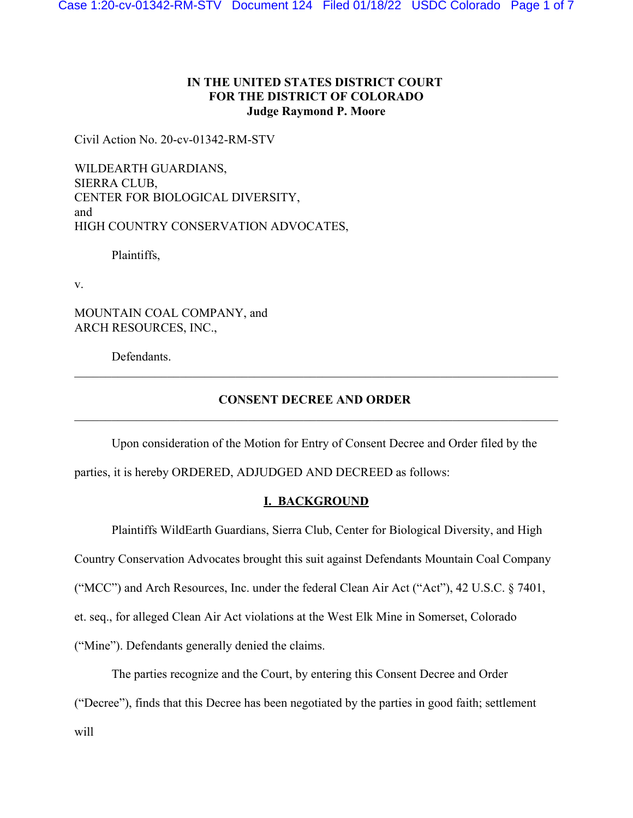# **IN THE UNITED STATES DISTRICT COURT FOR THE DISTRICT OF COLORADO Judge Raymond P. Moore**

Civil Action No. 20-cv-01342-RM-STV

WILDEARTH GUARDIANS, SIERRA CLUB, CENTER FOR BIOLOGICAL DIVERSITY, and HIGH COUNTRY CONSERVATION ADVOCATES,

Plaintiffs,

v.

MOUNTAIN COAL COMPANY, and ARCH RESOURCES, INC.,

Defendants.

# **CONSENT DECREE AND ORDER**

Upon consideration of the Motion for Entry of Consent Decree and Order filed by the

parties, it is hereby ORDERED, ADJUDGED AND DECREED as follows:

# **I. BACKGROUND**

Plaintiffs WildEarth Guardians, Sierra Club, Center for Biological Diversity, and High

Country Conservation Advocates brought this suit against Defendants Mountain Coal Company

("MCC") and Arch Resources, Inc. under the federal Clean Air Act ("Act"), 42 U.S.C. § 7401,

et. seq., for alleged Clean Air Act violations at the West Elk Mine in Somerset, Colorado

("Mine"). Defendants generally denied the claims.

The parties recognize and the Court, by entering this Consent Decree and Order

("Decree"), finds that this Decree has been negotiated by the parties in good faith; settlement

will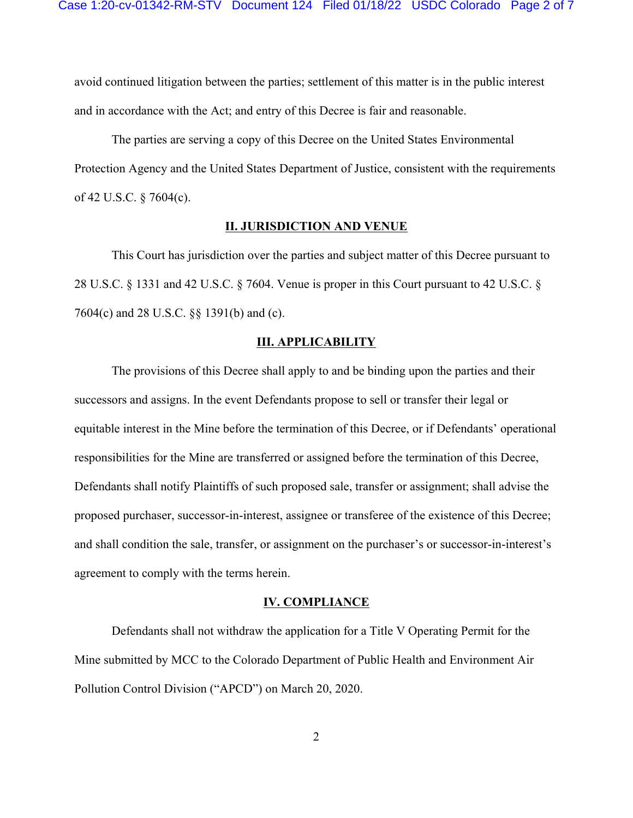avoid continued litigation between the parties; settlement of this matter is in the public interest and in accordance with the Act; and entry of this Decree is fair and reasonable.

The parties are serving a copy of this Decree on the United States Environmental Protection Agency and the United States Department of Justice, consistent with the requirements of 42 U.S.C. § 7604(c).

## **II. JURISDICTION AND VENUE**

This Court has jurisdiction over the parties and subject matter of this Decree pursuant to 28 U.S.C. § 1331 and 42 U.S.C. § 7604. Venue is proper in this Court pursuant to 42 U.S.C. § 7604(c) and 28 U.S.C. §§ 1391(b) and (c).

## **III. APPLICABILITY**

The provisions of this Decree shall apply to and be binding upon the parties and their successors and assigns. In the event Defendants propose to sell or transfer their legal or equitable interest in the Mine before the termination of this Decree, or if Defendants' operational responsibilities for the Mine are transferred or assigned before the termination of this Decree, Defendants shall notify Plaintiffs of such proposed sale, transfer or assignment; shall advise the proposed purchaser, successor-in-interest, assignee or transferee of the existence of this Decree; and shall condition the sale, transfer, or assignment on the purchaser's or successor-in-interest's agreement to comply with the terms herein.

#### **IV. COMPLIANCE**

Defendants shall not withdraw the application for a Title V Operating Permit for the Mine submitted by MCC to the Colorado Department of Public Health and Environment Air Pollution Control Division ("APCD") on March 20, 2020.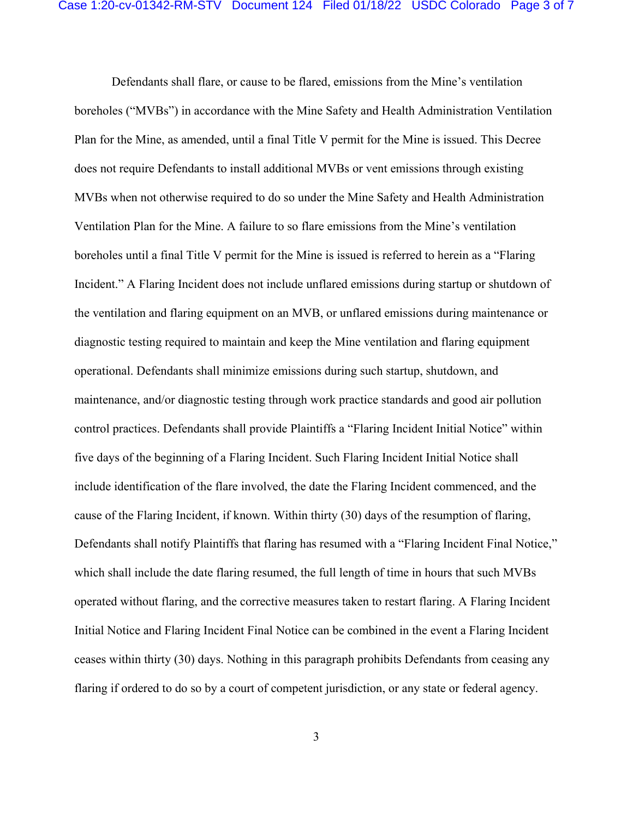Defendants shall flare, or cause to be flared, emissions from the Mine's ventilation boreholes ("MVBs") in accordance with the Mine Safety and Health Administration Ventilation Plan for the Mine, as amended, until a final Title V permit for the Mine is issued. This Decree does not require Defendants to install additional MVBs or vent emissions through existing MVBs when not otherwise required to do so under the Mine Safety and Health Administration Ventilation Plan for the Mine. A failure to so flare emissions from the Mine's ventilation boreholes until a final Title V permit for the Mine is issued is referred to herein as a "Flaring Incident." A Flaring Incident does not include unflared emissions during startup or shutdown of the ventilation and flaring equipment on an MVB, or unflared emissions during maintenance or diagnostic testing required to maintain and keep the Mine ventilation and flaring equipment operational. Defendants shall minimize emissions during such startup, shutdown, and maintenance, and/or diagnostic testing through work practice standards and good air pollution control practices. Defendants shall provide Plaintiffs a "Flaring Incident Initial Notice" within five days of the beginning of a Flaring Incident. Such Flaring Incident Initial Notice shall include identification of the flare involved, the date the Flaring Incident commenced, and the cause of the Flaring Incident, if known. Within thirty (30) days of the resumption of flaring, Defendants shall notify Plaintiffs that flaring has resumed with a "Flaring Incident Final Notice," which shall include the date flaring resumed, the full length of time in hours that such MVBs operated without flaring, and the corrective measures taken to restart flaring. A Flaring Incident Initial Notice and Flaring Incident Final Notice can be combined in the event a Flaring Incident ceases within thirty (30) days. Nothing in this paragraph prohibits Defendants from ceasing any flaring if ordered to do so by a court of competent jurisdiction, or any state or federal agency.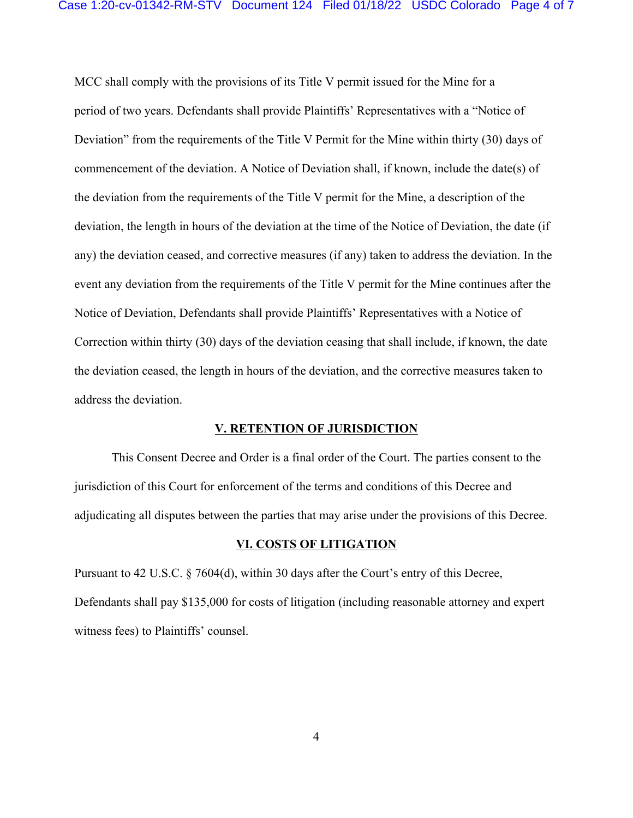MCC shall comply with the provisions of its Title V permit issued for the Mine for a period of two years. Defendants shall provide Plaintiffs' Representatives with a "Notice of Deviation" from the requirements of the Title V Permit for the Mine within thirty (30) days of commencement of the deviation. A Notice of Deviation shall, if known, include the date(s) of the deviation from the requirements of the Title V permit for the Mine, a description of the deviation, the length in hours of the deviation at the time of the Notice of Deviation, the date (if any) the deviation ceased, and corrective measures (if any) taken to address the deviation. In the event any deviation from the requirements of the Title V permit for the Mine continues after the Notice of Deviation, Defendants shall provide Plaintiffs' Representatives with a Notice of Correction within thirty (30) days of the deviation ceasing that shall include, if known, the date the deviation ceased, the length in hours of the deviation, and the corrective measures taken to address the deviation.

#### **V. RETENTION OF JURISDICTION**

This Consent Decree and Order is a final order of the Court. The parties consent to the jurisdiction of this Court for enforcement of the terms and conditions of this Decree and adjudicating all disputes between the parties that may arise under the provisions of this Decree.

#### **VI. COSTS OF LITIGATION**

Pursuant to 42 U.S.C. § 7604(d), within 30 days after the Court's entry of this Decree, Defendants shall pay \$135,000 for costs of litigation (including reasonable attorney and expert witness fees) to Plaintiffs' counsel.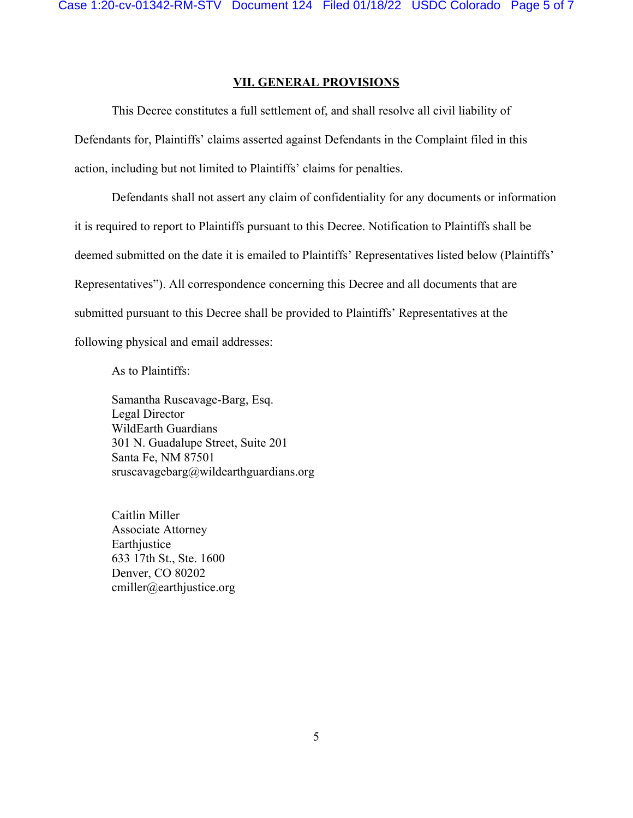## **VII. GENERAL PROVISIONS**

This Decree constitutes a full settlement of, and shall resolve all civil liability of Defendants for, Plaintiffs' claims asserted against Defendants in the Complaint filed in this action, including but not limited to Plaintiffs' claims for penalties.

Defendants shall not assert any claim of confidentiality for any documents or information it is required to report to Plaintiffs pursuant to this Decree. Notification to Plaintiffs shall be deemed submitted on the date it is emailed to Plaintiffs' Representatives listed below (Plaintiffs' Representatives"). All correspondence concerning this Decree and all documents that are submitted pursuant to this Decree shall be provided to Plaintiffs' Representatives at the following physical and email addresses:

As to Plaintiffs:

Samantha Ruscavage-Barg, Esq. Legal Director WildEarth Guardians 301 N. Guadalupe Street, Suite 201 Santa Fe, NM 87501  $struscavagebarg@wildearthguardians.org$ 

Caitlin Miller Associate Attorney Earthjustice 633 17th St., Ste. 1600 Denver, CO 80202 cmiller@earthjustice.org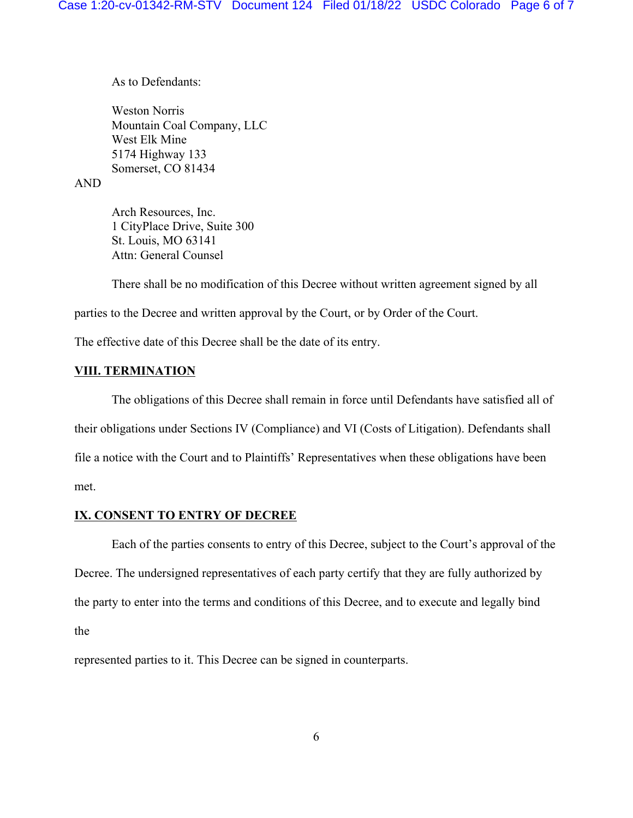As to Defendants:

Weston Norris Mountain Coal Company, LLC West Elk Mine 5174 Highway 133 Somerset, CO 81434

# AND

Arch Resources, Inc. 1 CityPlace Drive, Suite 300 St. Louis, MO 63141 Attn: General Counsel

There shall be no modification of this Decree without written agreement signed by all parties to the Decree and written approval by the Court, or by Order of the Court.

The effective date of this Decree shall be the date of its entry.

## **VIII. TERMINATION**

The obligations of this Decree shall remain in force until Defendants have satisfied all of their obligations under Sections IV (Compliance) and VI (Costs of Litigation). Defendants shall file a notice with the Court and to Plaintiffs' Representatives when these obligations have been met.

## **IX. CONSENT TO ENTRY OF DECREE**

Each of the parties consents to entry of this Decree, subject to the Court's approval of the Decree. The undersigned representatives of each party certify that they are fully authorized by the party to enter into the terms and conditions of this Decree, and to execute and legally bind the

represented parties to it. This Decree can be signed in counterparts.